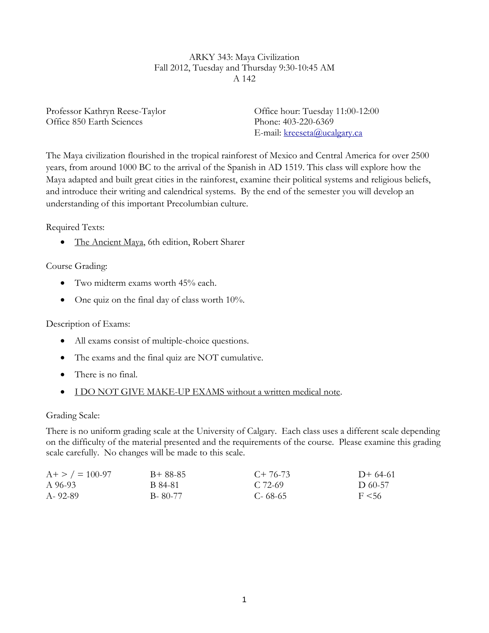#### ARKY 343: Maya Civilization Fall 2012, Tuesday and Thursday 9:30-10:45 AM A 142

Professor Kathryn Reese-Taylor Office 850 Earth Sciences

Office hour: Tuesday 11:00-12:00 Phone: 403-220-6369 E-mail: [kreeseta@ucalgary.ca](mailto:kreeseta@ucalgary.ca)

The Maya civilization flourished in the tropical rainforest of Mexico and Central America for over 2500 years, from around 1000 BC to the arrival of the Spanish in AD 1519. This class will explore how the Maya adapted and built great cities in the rainforest, examine their political systems and religious beliefs, and introduce their writing and calendrical systems. By the end of the semester you will develop an understanding of this important Precolumbian culture.

Required Texts:

• The Ancient Maya, 6th edition, Robert Sharer

Course Grading:

- Two midterm exams worth 45% each.
- $\bullet$  One quiz on the final day of class worth 10%.

## Description of Exams:

- All exams consist of multiple-choice questions.
- The exams and the final quiz are NOT cumulative.
- There is no final.
- I DO NOT GIVE MAKE-UP EXAMS without a written medical note.

Grading Scale:

There is no uniform grading scale at the University of Calgary. Each class uses a different scale depending on the difficulty of the material presented and the requirements of the course. Please examine this grading scale carefully. No changes will be made to this scale.

| $A + > / = 100-97$ | $B+88-85$ | $C+76-73$   | $D+64-61$  |
|--------------------|-----------|-------------|------------|
| A 96-93            | B 84-81   | C. 72-69    | D 60-57    |
| A-92-89            | B-80-77   | $C - 68-65$ | $F \le 56$ |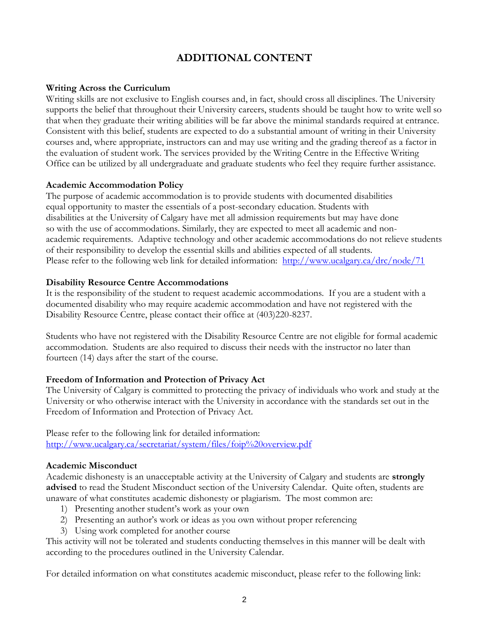# **ADDITIONAL CONTENT**

#### **Writing Across the Curriculum**

Writing skills are not exclusive to English courses and, in fact, should cross all disciplines. The University supports the belief that throughout their University careers, students should be taught how to write well so that when they graduate their writing abilities will be far above the minimal standards required at entrance. Consistent with this belief, students are expected to do a substantial amount of writing in their University courses and, where appropriate, instructors can and may use writing and the grading thereof as a factor in the evaluation of student work. The services provided by the Writing Centre in the Effective Writing Office can be utilized by all undergraduate and graduate students who feel they require further assistance.

#### **Academic Accommodation Policy**

The purpose of academic accommodation is to provide students with documented disabilities equal opportunity to master the essentials of a post-secondary education. Students with disabilities at the University of Calgary have met all admission requirements but may have done so with the use of accommodations. Similarly, they are expected to meet all academic and nonacademic requirements. Adaptive technology and other academic accommodations do not relieve students of their responsibility to develop the essential skills and abilities expected of all students. Please refer to the following web link for detailed information: <http://www.ucalgary.ca/drc/node/71>

#### **Disability Resource Centre Accommodations**

It is the responsibility of the student to request academic accommodations. If you are a student with a documented disability who may require academic accommodation and have not registered with the Disability Resource Centre, please contact their office at (403)220-8237.

Students who have not registered with the Disability Resource Centre are not eligible for formal academic accommodation. Students are also required to discuss their needs with the instructor no later than fourteen (14) days after the start of the course.

## **Freedom of Information and Protection of Privacy Act**

The University of Calgary is committed to protecting the privacy of individuals who work and study at the University or who otherwise interact with the University in accordance with the standards set out in the Freedom of Information and Protection of Privacy Act.

Please refer to the following link for detailed information: <http://www.ucalgary.ca/secretariat/system/files/foip%20overview.pdf>

#### **Academic Misconduct**

Academic dishonesty is an unacceptable activity at the University of Calgary and students are **strongly advised** to read the Student Misconduct section of the University Calendar. Quite often, students are unaware of what constitutes academic dishonesty or plagiarism. The most common are:

- 1) Presenting another student's work as your own
- 2) Presenting an author's work or ideas as you own without proper referencing
- 3) Using work completed for another course

This activity will not be tolerated and students conducting themselves in this manner will be dealt with according to the procedures outlined in the University Calendar.

For detailed information on what constitutes academic misconduct, please refer to the following link: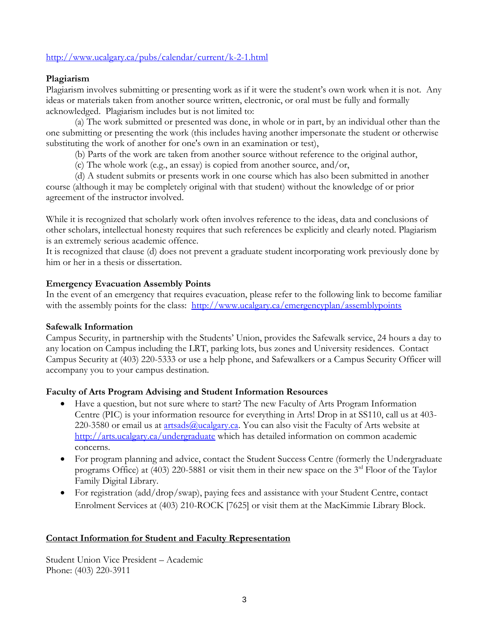## <http://www.ucalgary.ca/pubs/calendar/current/k-2-1.html>

### **Plagiarism**

Plagiarism involves submitting or presenting work as if it were the student's own work when it is not. Any ideas or materials taken from another source written, electronic, or oral must be fully and formally acknowledged. Plagiarism includes but is not limited to:

(a) The work submitted or presented was done, in whole or in part, by an individual other than the one submitting or presenting the work (this includes having another impersonate the student or otherwise substituting the work of another for one's own in an examination or test),

(b) Parts of the work are taken from another source without reference to the original author,

(c) The whole work (e.g., an essay) is copied from another source, and/or,

(d) A student submits or presents work in one course which has also been submitted in another course (although it may be completely original with that student) without the knowledge of or prior agreement of the instructor involved.

While it is recognized that scholarly work often involves reference to the ideas, data and conclusions of other scholars, intellectual honesty requires that such references be explicitly and clearly noted. Plagiarism is an extremely serious academic offence.

It is recognized that clause (d) does not prevent a graduate student incorporating work previously done by him or her in a thesis or dissertation.

#### **Emergency Evacuation Assembly Points**

In the event of an emergency that requires evacuation, please refer to the following link to become familiar with the assembly points for the class: <http://www.ucalgary.ca/emergencyplan/assemblypoints>

#### **Safewalk Information**

Campus Security, in partnership with the Students' Union, provides the Safewalk service, 24 hours a day to any location on Campus including the LRT, parking lots, bus zones and University residences. Contact Campus Security at (403) 220-5333 or use a help phone, and Safewalkers or a Campus Security Officer will accompany you to your campus destination.

#### **Faculty of Arts Program Advising and Student Information Resources**

- Have a question, but not sure where to start? The new Faculty of Arts Program Information Centre (PIC) is your information resource for everything in Arts! Drop in at SS110, call us at 403- 220-3580 or email us at  $\frac{\text{artsads}(a_1, a_2, a_3)}{\text{atatsads}(a_1, a_2, a_3)}$  and also visit the Faculty of Arts website at <http://arts.ucalgary.ca/undergraduate> which has detailed information on common academic concerns.
- For program planning and advice, contact the Student Success Centre (formerly the Undergraduate programs Office) at (403) 220-5881 or visit them in their new space on the 3rd Floor of the Taylor Family Digital Library.
- For registration (add/drop/swap), paying fees and assistance with your Student Centre, contact Enrolment Services at (403) 210-ROCK [7625] or visit them at the MacKimmie Library Block.

#### **Contact Information for Student and Faculty Representation**

Student Union Vice President – Academic Phone: (403) 220-3911